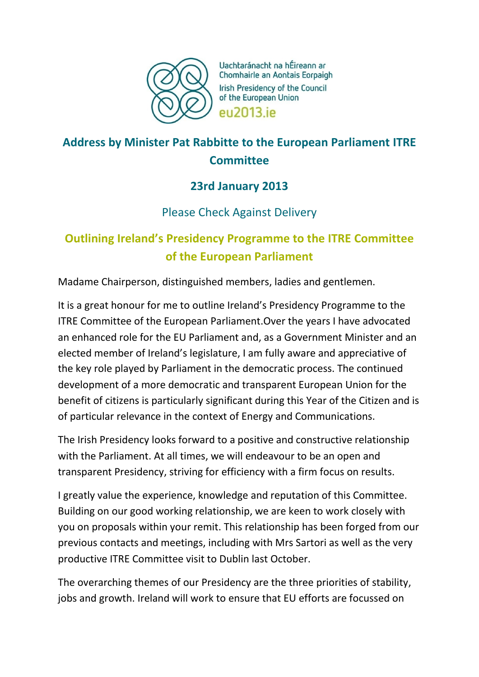

Uachtaránacht na hÉireann ar Chomhairle an Aontais Eorpaigh Irish Presidency of the Council of the European Union **PU2013** iP

# **Address by Minister Pat Rabbitte to the European Parliament ITRE Committee**

### **23rd January 2013**

### Please Check Against Delivery

# **Outlining Ireland's Presidency Programme to the ITRE Committee of the European Parliament**

Madame Chairperson, distinguished members, ladies and gentlemen.

It is a great honour for me to outline Ireland's Presidency Programme to the ITRE Committee of the European Parliament.Over the years I have advocated an enhanced role for the EU Parliament and, as a Government Minister and an elected member of Ireland's legislature, I am fully aware and appreciative of the key role played by Parliament in the democratic process. The continued development of a more democratic and transparent European Union for the benefit of citizens is particularly significant during this Year of the Citizen and is of particular relevance in the context of Energy and Communications.

The Irish Presidency looks forward to a positive and constructive relationship with the Parliament. At all times, we will endeavour to be an open and transparent Presidency, striving for efficiency with a firm focus on results.

I greatly value the experience, knowledge and reputation of this Committee. Building on our good working relationship, we are keen to work closely with you on proposals within your remit. This relationship has been forged from our previous contacts and meetings, including with Mrs Sartori as well as the very productive ITRE Committee visit to Dublin last October.

The overarching themes of our Presidency are the three priorities of stability, jobs and growth. Ireland will work to ensure that EU efforts are focussed on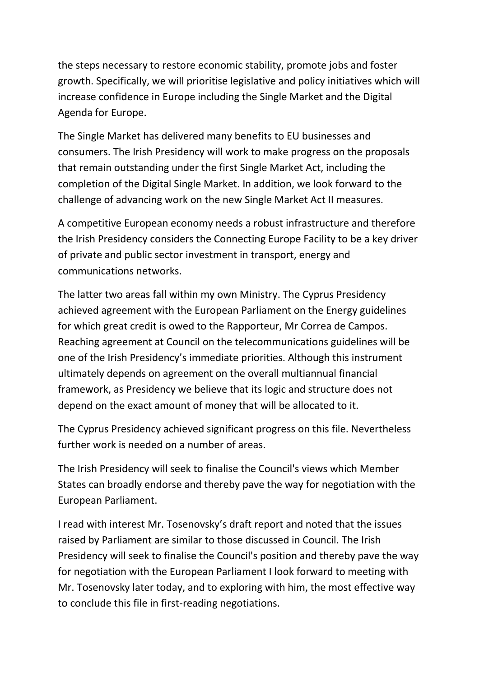the steps necessary to restore economic stability, promote jobs and foster growth. Specifically, we will prioritise legislative and policy initiatives which will increase confidence in Europe including the Single Market and the Digital Agenda for Europe.

The Single Market has delivered many benefits to EU businesses and consumers. The Irish Presidency will work to make progress on the proposals that remain outstanding under the first Single Market Act, including the completion of the Digital Single Market. In addition, we look forward to the challenge of advancing work on the new Single Market Act II measures.

A competitive European economy needs a robust infrastructure and therefore the Irish Presidency considers the Connecting Europe Facility to be a key driver of private and public sector investment in transport, energy and communications networks.

The latter two areas fall within my own Ministry. The Cyprus Presidency achieved agreement with the European Parliament on the Energy guidelines for which great credit is owed to the Rapporteur, Mr Correa de Campos. Reaching agreement at Council on the telecommunications guidelines will be one of the Irish Presidency's immediate priorities. Although this instrument ultimately depends on agreement on the overall multiannual financial framework, as Presidency we believe that its logic and structure does not depend on the exact amount of money that will be allocated to it.

The Cyprus Presidency achieved significant progress on this file. Nevertheless further work is needed on a number of areas.

The Irish Presidency will seek to finalise the Council's views which Member States can broadly endorse and thereby pave the way for negotiation with the European Parliament.

I read with interest Mr. Tosenovsky's draft report and noted that the issues raised by Parliament are similar to those discussed in Council. The Irish Presidency will seek to finalise the Council's position and thereby pave the way for negotiation with the European Parliament I look forward to meeting with Mr. Tosenovsky later today, and to exploring with him, the most effective way to conclude this file in first-reading negotiations.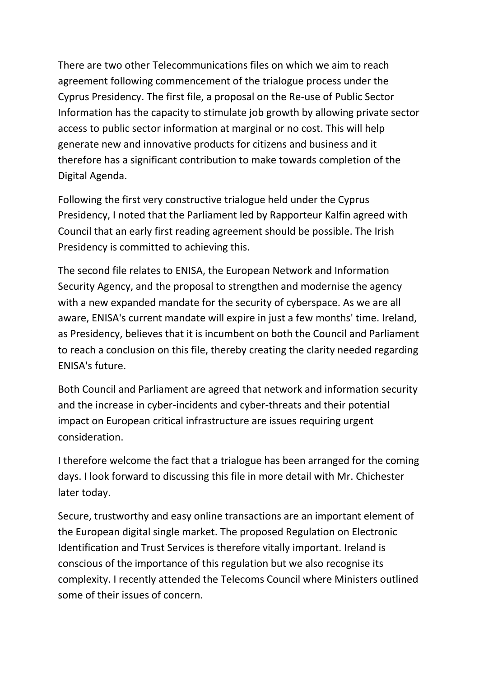There are two other Telecommunications files on which we aim to reach agreement following commencement of the trialogue process under the Cyprus Presidency. The first file, a proposal on the Re-use of Public Sector Information has the capacity to stimulate job growth by allowing private sector access to public sector information at marginal or no cost. This will help generate new and innovative products for citizens and business and it therefore has a significant contribution to make towards completion of the Digital Agenda.

Following the first very constructive trialogue held under the Cyprus Presidency, I noted that the Parliament led by Rapporteur Kalfin agreed with Council that an early first reading agreement should be possible. The Irish Presidency is committed to achieving this.

The second file relates to ENISA, the European Network and Information Security Agency, and the proposal to strengthen and modernise the agency with a new expanded mandate for the security of cyberspace. As we are all aware, ENISA's current mandate will expire in just a few months' time. Ireland, as Presidency, believes that it is incumbent on both the Council and Parliament to reach a conclusion on this file, thereby creating the clarity needed regarding ENISA's future.

Both Council and Parliament are agreed that network and information security and the increase in cyber-incidents and cyber-threats and their potential impact on European critical infrastructure are issues requiring urgent consideration.

I therefore welcome the fact that a trialogue has been arranged for the coming days. I look forward to discussing this file in more detail with Mr. Chichester later today.

Secure, trustworthy and easy online transactions are an important element of the European digital single market. The proposed Regulation on Electronic Identification and Trust Services is therefore vitally important. Ireland is conscious of the importance of this regulation but we also recognise its complexity. I recently attended the Telecoms Council where Ministers outlined some of their issues of concern.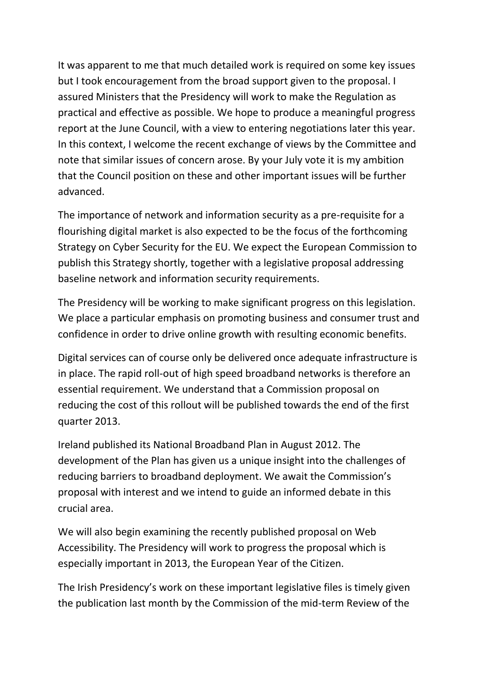It was apparent to me that much detailed work is required on some key issues but I took encouragement from the broad support given to the proposal. I assured Ministers that the Presidency will work to make the Regulation as practical and effective as possible. We hope to produce a meaningful progress report at the June Council, with a view to entering negotiations later this year. In this context, I welcome the recent exchange of views by the Committee and note that similar issues of concern arose. By your July vote it is my ambition that the Council position on these and other important issues will be further advanced.

The importance of network and information security as a pre-requisite for a flourishing digital market is also expected to be the focus of the forthcoming Strategy on Cyber Security for the EU. We expect the European Commission to publish this Strategy shortly, together with a legislative proposal addressing baseline network and information security requirements.

The Presidency will be working to make significant progress on this legislation. We place a particular emphasis on promoting business and consumer trust and confidence in order to drive online growth with resulting economic benefits.

Digital services can of course only be delivered once adequate infrastructure is in place. The rapid roll-out of high speed broadband networks is therefore an essential requirement. We understand that a Commission proposal on reducing the cost of this rollout will be published towards the end of the first quarter 2013.

Ireland published its National Broadband Plan in August 2012. The development of the Plan has given us a unique insight into the challenges of reducing barriers to broadband deployment. We await the Commission's proposal with interest and we intend to guide an informed debate in this crucial area.

We will also begin examining the recently published proposal on Web Accessibility. The Presidency will work to progress the proposal which is especially important in 2013, the European Year of the Citizen.

The Irish Presidency's work on these important legislative files is timely given the publication last month by the Commission of the mid-term Review of the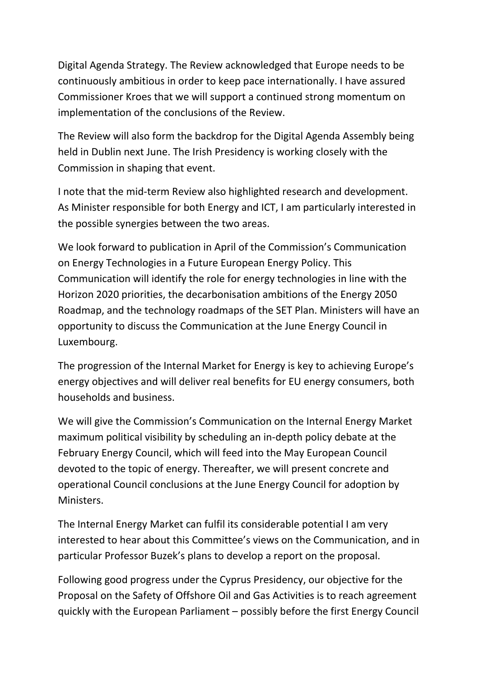Digital Agenda Strategy. The Review acknowledged that Europe needs to be continuously ambitious in order to keep pace internationally. I have assured Commissioner Kroes that we will support a continued strong momentum on implementation of the conclusions of the Review.

The Review will also form the backdrop for the Digital Agenda Assembly being held in Dublin next June. The Irish Presidency is working closely with the Commission in shaping that event.

I note that the mid-term Review also highlighted research and development. As Minister responsible for both Energy and ICT, I am particularly interested in the possible synergies between the two areas.

We look forward to publication in April of the Commission's Communication on Energy Technologies in a Future European Energy Policy. This Communication will identify the role for energy technologies in line with the Horizon 2020 priorities, the decarbonisation ambitions of the Energy 2050 Roadmap, and the technology roadmaps of the SET Plan. Ministers will have an opportunity to discuss the Communication at the June Energy Council in Luxembourg.

The progression of the Internal Market for Energy is key to achieving Europe's energy objectives and will deliver real benefits for EU energy consumers, both households and business.

We will give the Commission's Communication on the Internal Energy Market maximum political visibility by scheduling an in-depth policy debate at the February Energy Council, which will feed into the May European Council devoted to the topic of energy. Thereafter, we will present concrete and operational Council conclusions at the June Energy Council for adoption by Ministers.

The Internal Energy Market can fulfil its considerable potential I am very interested to hear about this Committee's views on the Communication, and in particular Professor Buzek's plans to develop a report on the proposal.

Following good progress under the Cyprus Presidency, our objective for the Proposal on the Safety of Offshore Oil and Gas Activities is to reach agreement quickly with the European Parliament – possibly before the first Energy Council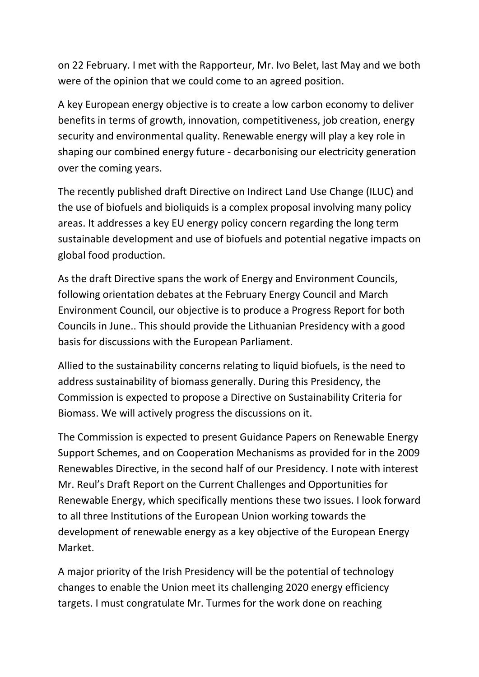on 22 February. I met with the Rapporteur, Mr. Ivo Belet, last May and we both were of the opinion that we could come to an agreed position.

A key European energy objective is to create a low carbon economy to deliver benefits in terms of growth, innovation, competitiveness, job creation, energy security and environmental quality. Renewable energy will play a key role in shaping our combined energy future - decarbonising our electricity generation over the coming years.

The recently published draft Directive on Indirect Land Use Change (ILUC) and the use of biofuels and bioliquids is a complex proposal involving many policy areas. It addresses a key EU energy policy concern regarding the long term sustainable development and use of biofuels and potential negative impacts on global food production.

As the draft Directive spans the work of Energy and Environment Councils, following orientation debates at the February Energy Council and March Environment Council, our objective is to produce a Progress Report for both Councils in June.. This should provide the Lithuanian Presidency with a good basis for discussions with the European Parliament.

Allied to the sustainability concerns relating to liquid biofuels, is the need to address sustainability of biomass generally. During this Presidency, the Commission is expected to propose a Directive on Sustainability Criteria for Biomass. We will actively progress the discussions on it.

The Commission is expected to present Guidance Papers on Renewable Energy Support Schemes, and on Cooperation Mechanisms as provided for in the 2009 Renewables Directive, in the second half of our Presidency. I note with interest Mr. Reul's Draft Report on the Current Challenges and Opportunities for Renewable Energy, which specifically mentions these two issues. I look forward to all three Institutions of the European Union working towards the development of renewable energy as a key objective of the European Energy Market.

A major priority of the Irish Presidency will be the potential of technology changes to enable the Union meet its challenging 2020 energy efficiency targets. I must congratulate Mr. Turmes for the work done on reaching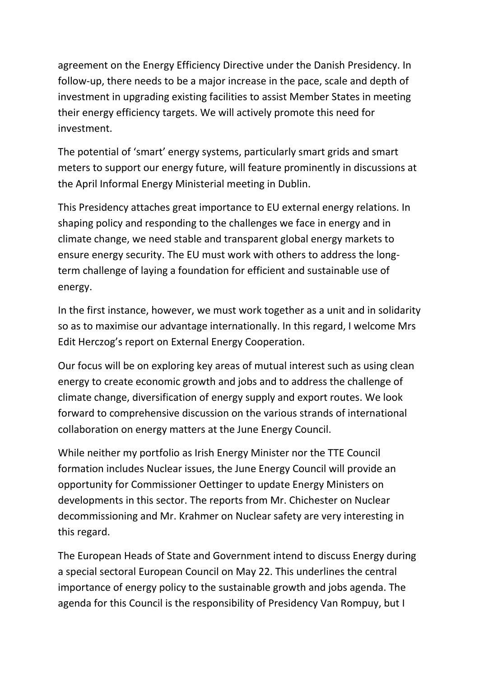agreement on the Energy Efficiency Directive under the Danish Presidency. In follow-up, there needs to be a major increase in the pace, scale and depth of investment in upgrading existing facilities to assist Member States in meeting their energy efficiency targets. We will actively promote this need for investment.

The potential of 'smart' energy systems, particularly smart grids and smart meters to support our energy future, will feature prominently in discussions at the April Informal Energy Ministerial meeting in Dublin.

This Presidency attaches great importance to EU external energy relations. In shaping policy and responding to the challenges we face in energy and in climate change, we need stable and transparent global energy markets to ensure energy security. The EU must work with others to address the longterm challenge of laying a foundation for efficient and sustainable use of energy.

In the first instance, however, we must work together as a unit and in solidarity so as to maximise our advantage internationally. In this regard, I welcome Mrs Edit Herczog's report on External Energy Cooperation.

Our focus will be on exploring key areas of mutual interest such as using clean energy to create economic growth and jobs and to address the challenge of climate change, diversification of energy supply and export routes. We look forward to comprehensive discussion on the various strands of international collaboration on energy matters at the June Energy Council.

While neither my portfolio as Irish Energy Minister nor the TTE Council formation includes Nuclear issues, the June Energy Council will provide an opportunity for Commissioner Oettinger to update Energy Ministers on developments in this sector. The reports from Mr. Chichester on Nuclear decommissioning and Mr. Krahmer on Nuclear safety are very interesting in this regard.

The European Heads of State and Government intend to discuss Energy during a special sectoral European Council on May 22. This underlines the central importance of energy policy to the sustainable growth and jobs agenda. The agenda for this Council is the responsibility of Presidency Van Rompuy, but I